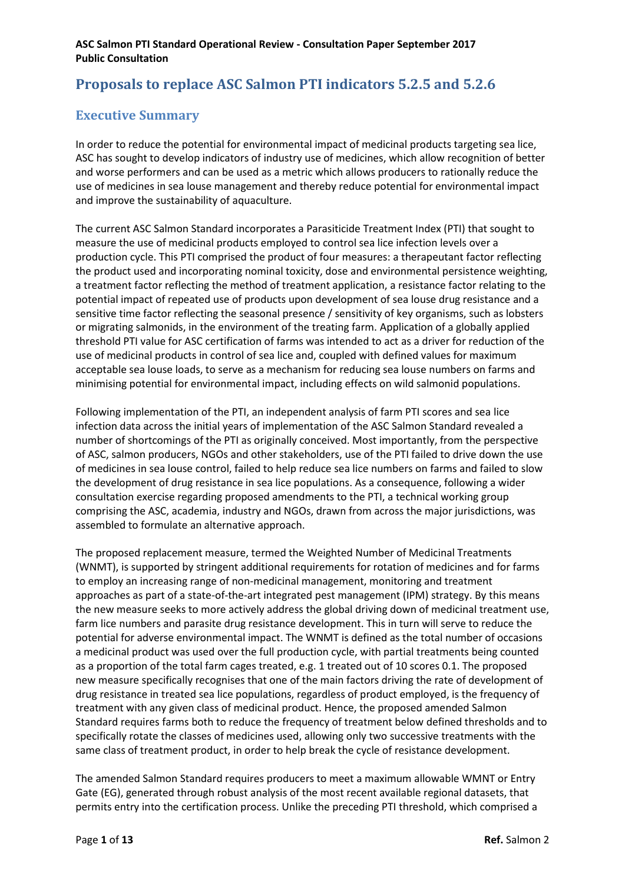# **Proposals to replace ASC Salmon PTI indicators 5.2.5 and 5.2.6**

## **Executive Summary**

In order to reduce the potential for environmental impact of medicinal products targeting sea lice, ASC has sought to develop indicators of industry use of medicines, which allow recognition of better and worse performers and can be used as a metric which allows producers to rationally reduce the use of medicines in sea louse management and thereby reduce potential for environmental impact and improve the sustainability of aquaculture.

The current ASC Salmon Standard incorporates a Parasiticide Treatment Index (PTI) that sought to measure the use of medicinal products employed to control sea lice infection levels over a production cycle. This PTI comprised the product of four measures: a therapeutant factor reflecting the product used and incorporating nominal toxicity, dose and environmental persistence weighting, a treatment factor reflecting the method of treatment application, a resistance factor relating to the potential impact of repeated use of products upon development of sea louse drug resistance and a sensitive time factor reflecting the seasonal presence / sensitivity of key organisms, such as lobsters or migrating salmonids, in the environment of the treating farm. Application of a globally applied threshold PTI value for ASC certification of farms was intended to act as a driver for reduction of the use of medicinal products in control of sea lice and, coupled with defined values for maximum acceptable sea louse loads, to serve as a mechanism for reducing sea louse numbers on farms and minimising potential for environmental impact, including effects on wild salmonid populations.

Following implementation of the PTI, an independent analysis of farm PTI scores and sea lice infection data across the initial years of implementation of the ASC Salmon Standard revealed a number of shortcomings of the PTI as originally conceived. Most importantly, from the perspective of ASC, salmon producers, NGOs and other stakeholders, use of the PTI failed to drive down the use of medicines in sea louse control, failed to help reduce sea lice numbers on farms and failed to slow the development of drug resistance in sea lice populations. As a consequence, following a wider consultation exercise regarding proposed amendments to the PTI, a technical working group comprising the ASC, academia, industry and NGOs, drawn from across the major jurisdictions, was assembled to formulate an alternative approach.

The proposed replacement measure, termed the Weighted Number of Medicinal Treatments (WNMT), is supported by stringent additional requirements for rotation of medicines and for farms to employ an increasing range of non-medicinal management, monitoring and treatment approaches as part of a state-of-the-art integrated pest management (IPM) strategy. By this means the new measure seeks to more actively address the global driving down of medicinal treatment use, farm lice numbers and parasite drug resistance development. This in turn will serve to reduce the potential for adverse environmental impact. The WNMT is defined as the total number of occasions a medicinal product was used over the full production cycle, with partial treatments being counted as a proportion of the total farm cages treated, e.g. 1 treated out of 10 scores 0.1. The proposed new measure specifically recognises that one of the main factors driving the rate of development of drug resistance in treated sea lice populations, regardless of product employed, is the frequency of treatment with any given class of medicinal product. Hence, the proposed amended Salmon Standard requires farms both to reduce the frequency of treatment below defined thresholds and to specifically rotate the classes of medicines used, allowing only two successive treatments with the same class of treatment product, in order to help break the cycle of resistance development.

The amended Salmon Standard requires producers to meet a maximum allowable WMNT or Entry Gate (EG), generated through robust analysis of the most recent available regional datasets, that permits entry into the certification process. Unlike the preceding PTI threshold, which comprised a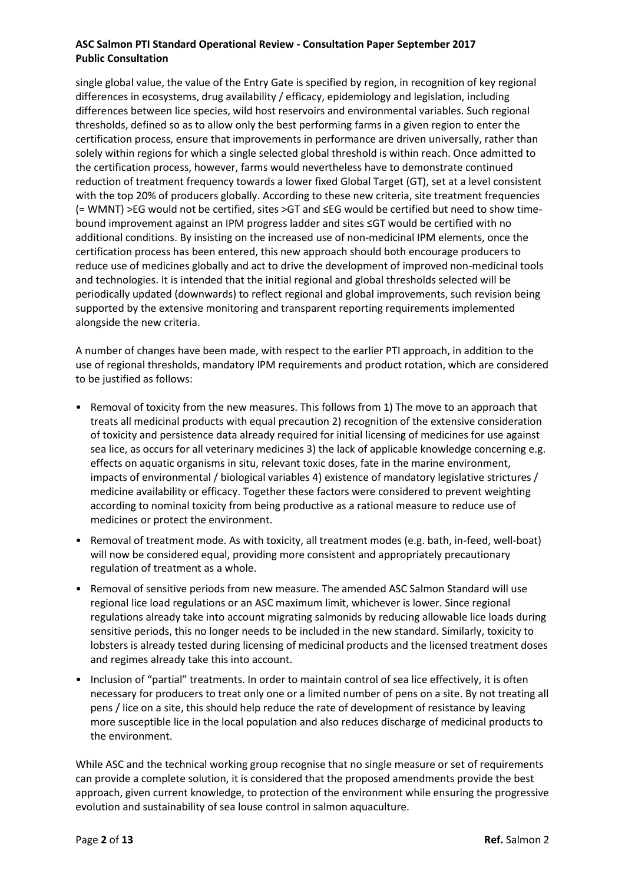single global value, the value of the Entry Gate is specified by region, in recognition of key regional differences in ecosystems, drug availability / efficacy, epidemiology and legislation, including differences between lice species, wild host reservoirs and environmental variables. Such regional thresholds, defined so as to allow only the best performing farms in a given region to enter the certification process, ensure that improvements in performance are driven universally, rather than solely within regions for which a single selected global threshold is within reach. Once admitted to the certification process, however, farms would nevertheless have to demonstrate continued reduction of treatment frequency towards a lower fixed Global Target (GT), set at a level consistent with the top 20% of producers globally. According to these new criteria, site treatment frequencies (= WMNT) >EG would not be certified, sites >GT and ≤EG would be certified but need to show timebound improvement against an IPM progress ladder and sites ≤GT would be certified with no additional conditions. By insisting on the increased use of non-medicinal IPM elements, once the certification process has been entered, this new approach should both encourage producers to reduce use of medicines globally and act to drive the development of improved non-medicinal tools and technologies. It is intended that the initial regional and global thresholds selected will be periodically updated (downwards) to reflect regional and global improvements, such revision being supported by the extensive monitoring and transparent reporting requirements implemented alongside the new criteria.

A number of changes have been made, with respect to the earlier PTI approach, in addition to the use of regional thresholds, mandatory IPM requirements and product rotation, which are considered to be justified as follows:

- Removal of toxicity from the new measures. This follows from 1) The move to an approach that treats all medicinal products with equal precaution 2) recognition of the extensive consideration of toxicity and persistence data already required for initial licensing of medicines for use against sea lice, as occurs for all veterinary medicines 3) the lack of applicable knowledge concerning e.g. effects on aquatic organisms in situ, relevant toxic doses, fate in the marine environment, impacts of environmental / biological variables 4) existence of mandatory legislative strictures / medicine availability or efficacy. Together these factors were considered to prevent weighting according to nominal toxicity from being productive as a rational measure to reduce use of medicines or protect the environment.
- Removal of treatment mode. As with toxicity, all treatment modes (e.g. bath, in-feed, well-boat) will now be considered equal, providing more consistent and appropriately precautionary regulation of treatment as a whole.
- Removal of sensitive periods from new measure. The amended ASC Salmon Standard will use regional lice load regulations or an ASC maximum limit, whichever is lower. Since regional regulations already take into account migrating salmonids by reducing allowable lice loads during sensitive periods, this no longer needs to be included in the new standard. Similarly, toxicity to lobsters is already tested during licensing of medicinal products and the licensed treatment doses and regimes already take this into account.
- Inclusion of "partial" treatments. In order to maintain control of sea lice effectively, it is often necessary for producers to treat only one or a limited number of pens on a site. By not treating all pens / lice on a site, this should help reduce the rate of development of resistance by leaving more susceptible lice in the local population and also reduces discharge of medicinal products to the environment.

While ASC and the technical working group recognise that no single measure or set of requirements can provide a complete solution, it is considered that the proposed amendments provide the best approach, given current knowledge, to protection of the environment while ensuring the progressive evolution and sustainability of sea louse control in salmon aquaculture.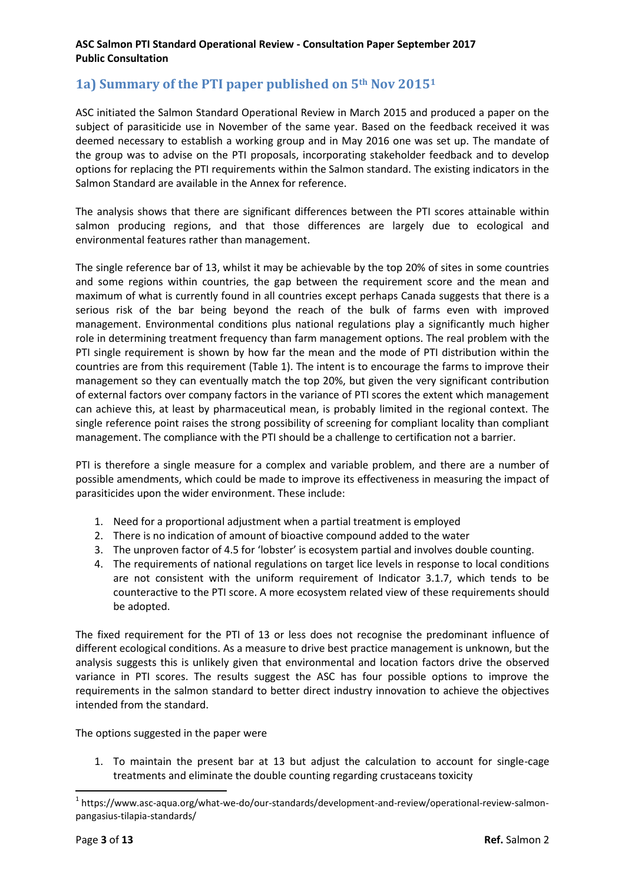## **1a) Summary of the PTI paper published on 5th Nov 2015<sup>1</sup>**

ASC initiated the Salmon Standard Operational Review in March 2015 and produced a paper on the subject of parasiticide use in November of the same year. Based on the feedback received it was deemed necessary to establish a working group and in May 2016 one was set up. The mandate of the group was to advise on the PTI proposals, incorporating stakeholder feedback and to develop options for replacing the PTI requirements within the Salmon standard. The existing indicators in the Salmon Standard are available in the Annex for reference.

The analysis shows that there are significant differences between the PTI scores attainable within salmon producing regions, and that those differences are largely due to ecological and environmental features rather than management.

The single reference bar of 13, whilst it may be achievable by the top 20% of sites in some countries and some regions within countries, the gap between the requirement score and the mean and maximum of what is currently found in all countries except perhaps Canada suggests that there is a serious risk of the bar being beyond the reach of the bulk of farms even with improved management. Environmental conditions plus national regulations play a significantly much higher role in determining treatment frequency than farm management options. The real problem with the PTI single requirement is shown by how far the mean and the mode of PTI distribution within the countries are from this requirement (Table 1). The intent is to encourage the farms to improve their management so they can eventually match the top 20%, but given the very significant contribution of external factors over company factors in the variance of PTI scores the extent which management can achieve this, at least by pharmaceutical mean, is probably limited in the regional context. The single reference point raises the strong possibility of screening for compliant locality than compliant management. The compliance with the PTI should be a challenge to certification not a barrier.

PTI is therefore a single measure for a complex and variable problem, and there are a number of possible amendments, which could be made to improve its effectiveness in measuring the impact of parasiticides upon the wider environment. These include:

- 1. Need for a proportional adjustment when a partial treatment is employed
- 2. There is no indication of amount of bioactive compound added to the water
- 3. The unproven factor of 4.5 for 'lobster' is ecosystem partial and involves double counting.
- 4. The requirements of national regulations on target lice levels in response to local conditions are not consistent with the uniform requirement of Indicator 3.1.7, which tends to be counteractive to the PTI score. A more ecosystem related view of these requirements should be adopted.

The fixed requirement for the PTI of 13 or less does not recognise the predominant influence of different ecological conditions. As a measure to drive best practice management is unknown, but the analysis suggests this is unlikely given that environmental and location factors drive the observed variance in PTI scores. The results suggest the ASC has four possible options to improve the requirements in the salmon standard to better direct industry innovation to achieve the objectives intended from the standard.

The options suggested in the paper were

1. To maintain the present bar at 13 but adjust the calculation to account for single-cage treatments and eliminate the double counting regarding crustaceans toxicity

1

<sup>&</sup>lt;sup>1</sup> https://www.asc-aqua.org/what-we-do/our-standards/development-and-review/operational-review-salmonpangasius-tilapia-standards/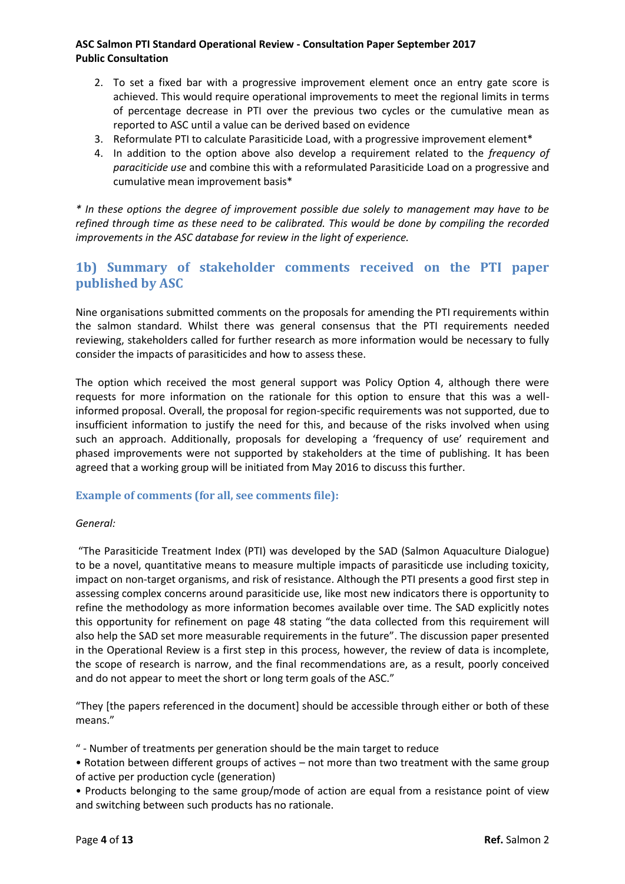- 2. To set a fixed bar with a progressive improvement element once an entry gate score is achieved. This would require operational improvements to meet the regional limits in terms of percentage decrease in PTI over the previous two cycles or the cumulative mean as reported to ASC until a value can be derived based on evidence
- 3. Reformulate PTI to calculate Parasiticide Load, with a progressive improvement element\*
- 4. In addition to the option above also develop a requirement related to the *frequency of paraciticide use* and combine this with a reformulated Parasiticide Load on a progressive and cumulative mean improvement basis\*

*\* In these options the degree of improvement possible due solely to management may have to be refined through time as these need to be calibrated. This would be done by compiling the recorded improvements in the ASC database for review in the light of experience.*

## **1b) Summary of stakeholder comments received on the PTI paper published by ASC**

Nine organisations submitted comments on the proposals for amending the PTI requirements within the salmon standard. Whilst there was general consensus that the PTI requirements needed reviewing, stakeholders called for further research as more information would be necessary to fully consider the impacts of parasiticides and how to assess these.

The option which received the most general support was Policy Option 4, although there were requests for more information on the rationale for this option to ensure that this was a wellinformed proposal. Overall, the proposal for region-specific requirements was not supported, due to insufficient information to justify the need for this, and because of the risks involved when using such an approach. Additionally, proposals for developing a 'frequency of use' requirement and phased improvements were not supported by stakeholders at the time of publishing. It has been agreed that a working group will be initiated from May 2016 to discuss this further.

## **Example of comments (for all, see comments file):**

#### *General:*

"The Parasiticide Treatment Index (PTI) was developed by the SAD (Salmon Aquaculture Dialogue) to be a novel, quantitative means to measure multiple impacts of parasiticde use including toxicity, impact on non-target organisms, and risk of resistance. Although the PTI presents a good first step in assessing complex concerns around parasiticide use, like most new indicators there is opportunity to refine the methodology as more information becomes available over time. The SAD explicitly notes this opportunity for refinement on page 48 stating "the data collected from this requirement will also help the SAD set more measurable requirements in the future". The discussion paper presented in the Operational Review is a first step in this process, however, the review of data is incomplete, the scope of research is narrow, and the final recommendations are, as a result, poorly conceived and do not appear to meet the short or long term goals of the ASC."

"They [the papers referenced in the document] should be accessible through either or both of these means."

" - Number of treatments per generation should be the main target to reduce

• Rotation between different groups of actives – not more than two treatment with the same group of active per production cycle (generation)

• Products belonging to the same group/mode of action are equal from a resistance point of view and switching between such products has no rationale.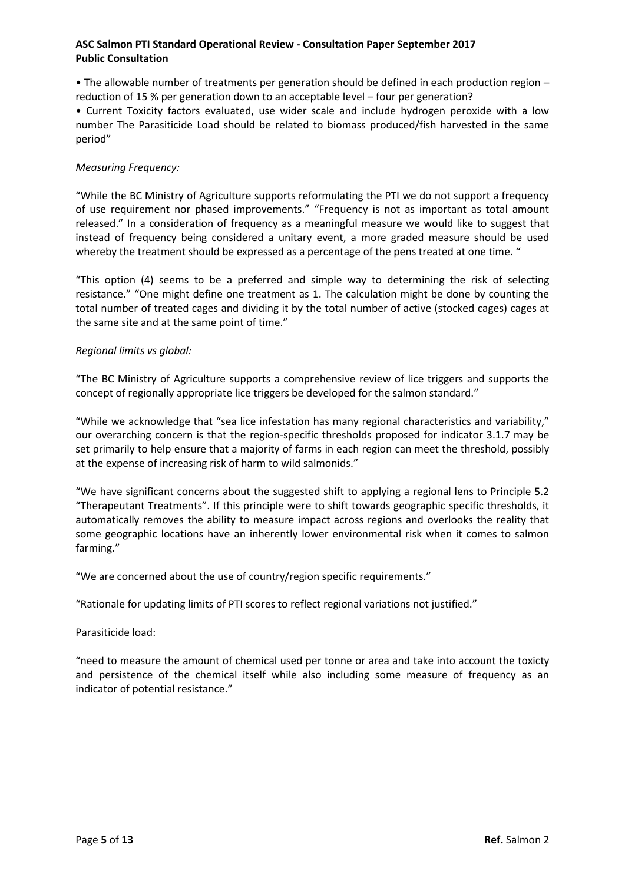• The allowable number of treatments per generation should be defined in each production region – reduction of 15 % per generation down to an acceptable level – four per generation?

• Current Toxicity factors evaluated, use wider scale and include hydrogen peroxide with a low number The Parasiticide Load should be related to biomass produced/fish harvested in the same period"

### *Measuring Frequency:*

"While the BC Ministry of Agriculture supports reformulating the PTI we do not support a frequency of use requirement nor phased improvements." "Frequency is not as important as total amount released." In a consideration of frequency as a meaningful measure we would like to suggest that instead of frequency being considered a unitary event, a more graded measure should be used whereby the treatment should be expressed as a percentage of the pens treated at one time. "

"This option (4) seems to be a preferred and simple way to determining the risk of selecting resistance." "One might define one treatment as 1. The calculation might be done by counting the total number of treated cages and dividing it by the total number of active (stocked cages) cages at the same site and at the same point of time."

### *Regional limits vs global:*

"The BC Ministry of Agriculture supports a comprehensive review of lice triggers and supports the concept of regionally appropriate lice triggers be developed for the salmon standard."

"While we acknowledge that "sea lice infestation has many regional characteristics and variability," our overarching concern is that the region-specific thresholds proposed for indicator 3.1.7 may be set primarily to help ensure that a majority of farms in each region can meet the threshold, possibly at the expense of increasing risk of harm to wild salmonids."

"We have significant concerns about the suggested shift to applying a regional lens to Principle 5.2 "Therapeutant Treatments". If this principle were to shift towards geographic specific thresholds, it automatically removes the ability to measure impact across regions and overlooks the reality that some geographic locations have an inherently lower environmental risk when it comes to salmon farming."

"We are concerned about the use of country/region specific requirements."

"Rationale for updating limits of PTI scores to reflect regional variations not justified."

Parasiticide load:

"need to measure the amount of chemical used per tonne or area and take into account the toxicty and persistence of the chemical itself while also including some measure of frequency as an indicator of potential resistance."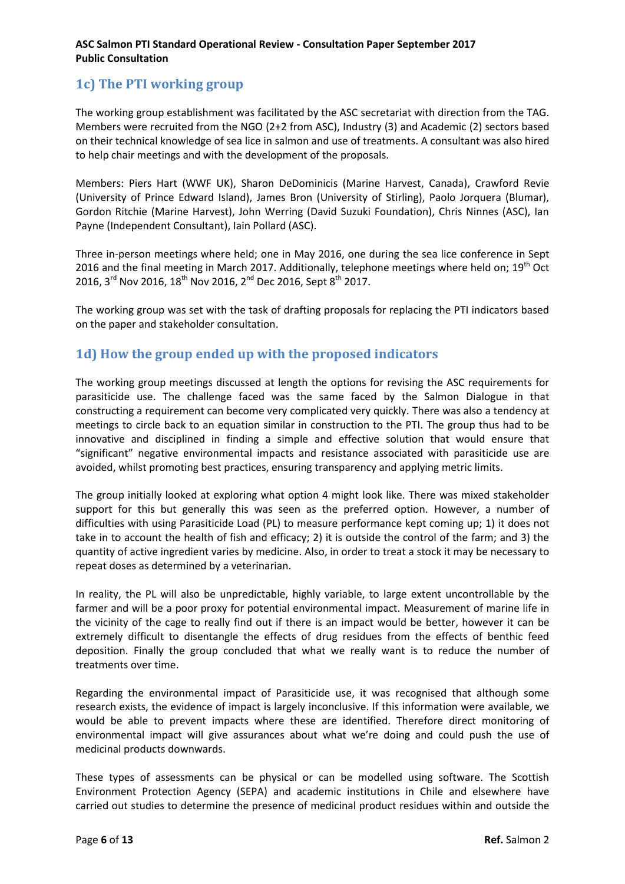## **1c) The PTI working group**

The working group establishment was facilitated by the ASC secretariat with direction from the TAG. Members were recruited from the NGO (2+2 from ASC), Industry (3) and Academic (2) sectors based on their technical knowledge of sea lice in salmon and use of treatments. A consultant was also hired to help chair meetings and with the development of the proposals.

Members: Piers Hart (WWF UK), Sharon DeDominicis (Marine Harvest, Canada), Crawford Revie (University of Prince Edward Island), James Bron (University of Stirling), Paolo Jorquera (Blumar), Gordon Ritchie (Marine Harvest), John Werring (David Suzuki Foundation), Chris Ninnes (ASC), Ian Payne (Independent Consultant), Iain Pollard (ASC).

Three in-person meetings where held; one in May 2016, one during the sea lice conference in Sept 2016 and the final meeting in March 2017. Additionally, telephone meetings where held on;  $19<sup>th</sup>$  Oct 2016, 3<sup>rd</sup> Nov 2016, 18<sup>th</sup> Nov 2016, 2<sup>nd</sup> Dec 2016, Sept 8<sup>th</sup> 2017.

The working group was set with the task of drafting proposals for replacing the PTI indicators based on the paper and stakeholder consultation.

## **1d) How the group ended up with the proposed indicators**

The working group meetings discussed at length the options for revising the ASC requirements for parasiticide use. The challenge faced was the same faced by the Salmon Dialogue in that constructing a requirement can become very complicated very quickly. There was also a tendency at meetings to circle back to an equation similar in construction to the PTI. The group thus had to be innovative and disciplined in finding a simple and effective solution that would ensure that "significant" negative environmental impacts and resistance associated with parasiticide use are avoided, whilst promoting best practices, ensuring transparency and applying metric limits.

The group initially looked at exploring what option 4 might look like. There was mixed stakeholder support for this but generally this was seen as the preferred option. However, a number of difficulties with using Parasiticide Load (PL) to measure performance kept coming up; 1) it does not take in to account the health of fish and efficacy; 2) it is outside the control of the farm; and 3) the quantity of active ingredient varies by medicine. Also, in order to treat a stock it may be necessary to repeat doses as determined by a veterinarian.

In reality, the PL will also be unpredictable, highly variable, to large extent uncontrollable by the farmer and will be a poor proxy for potential environmental impact. Measurement of marine life in the vicinity of the cage to really find out if there is an impact would be better, however it can be extremely difficult to disentangle the effects of drug residues from the effects of benthic feed deposition. Finally the group concluded that what we really want is to reduce the number of treatments over time.

Regarding the environmental impact of Parasiticide use, it was recognised that although some research exists, the evidence of impact is largely inconclusive. If this information were available, we would be able to prevent impacts where these are identified. Therefore direct monitoring of environmental impact will give assurances about what we're doing and could push the use of medicinal products downwards.

These types of assessments can be physical or can be modelled using software. The Scottish Environment Protection Agency (SEPA) and academic institutions in Chile and elsewhere have carried out studies to determine the presence of medicinal product residues within and outside the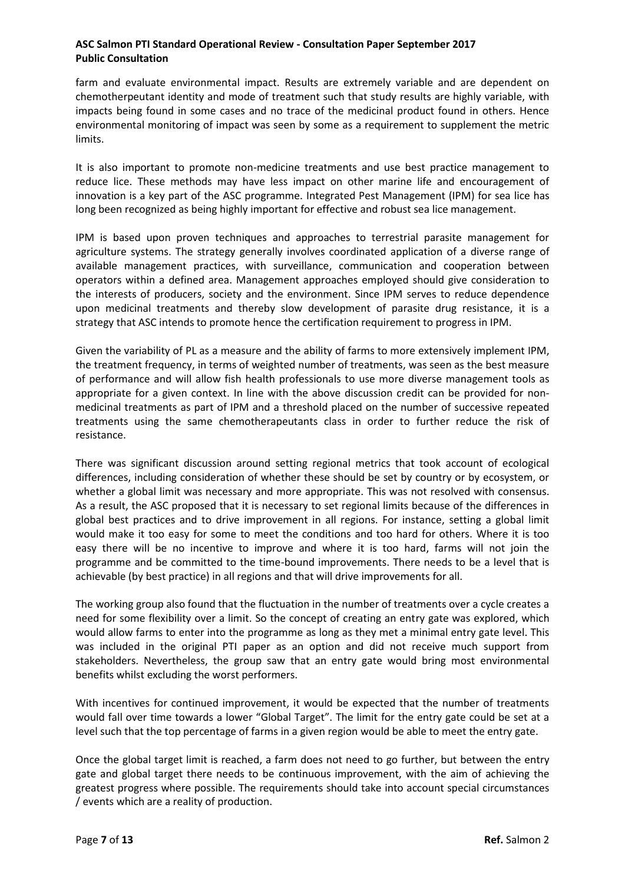farm and evaluate environmental impact. Results are extremely variable and are dependent on chemotherpeutant identity and mode of treatment such that study results are highly variable, with impacts being found in some cases and no trace of the medicinal product found in others. Hence environmental monitoring of impact was seen by some as a requirement to supplement the metric limits.

It is also important to promote non-medicine treatments and use best practice management to reduce lice. These methods may have less impact on other marine life and encouragement of innovation is a key part of the ASC programme. Integrated Pest Management (IPM) for sea lice has long been recognized as being highly important for effective and robust sea lice management.

IPM is based upon proven techniques and approaches to terrestrial parasite management for agriculture systems. The strategy generally involves coordinated application of a diverse range of available management practices, with surveillance, communication and cooperation between operators within a defined area. Management approaches employed should give consideration to the interests of producers, society and the environment. Since IPM serves to reduce dependence upon medicinal treatments and thereby slow development of parasite drug resistance, it is a strategy that ASC intends to promote hence the certification requirement to progress in IPM.

Given the variability of PL as a measure and the ability of farms to more extensively implement IPM, the treatment frequency, in terms of weighted number of treatments, was seen as the best measure of performance and will allow fish health professionals to use more diverse management tools as appropriate for a given context. In line with the above discussion credit can be provided for nonmedicinal treatments as part of IPM and a threshold placed on the number of successive repeated treatments using the same chemotherapeutants class in order to further reduce the risk of resistance.

There was significant discussion around setting regional metrics that took account of ecological differences, including consideration of whether these should be set by country or by ecosystem, or whether a global limit was necessary and more appropriate. This was not resolved with consensus. As a result, the ASC proposed that it is necessary to set regional limits because of the differences in global best practices and to drive improvement in all regions. For instance, setting a global limit would make it too easy for some to meet the conditions and too hard for others. Where it is too easy there will be no incentive to improve and where it is too hard, farms will not join the programme and be committed to the time-bound improvements. There needs to be a level that is achievable (by best practice) in all regions and that will drive improvements for all.

The working group also found that the fluctuation in the number of treatments over a cycle creates a need for some flexibility over a limit. So the concept of creating an entry gate was explored, which would allow farms to enter into the programme as long as they met a minimal entry gate level. This was included in the original PTI paper as an option and did not receive much support from stakeholders. Nevertheless, the group saw that an entry gate would bring most environmental benefits whilst excluding the worst performers.

With incentives for continued improvement, it would be expected that the number of treatments would fall over time towards a lower "Global Target". The limit for the entry gate could be set at a level such that the top percentage of farms in a given region would be able to meet the entry gate.

Once the global target limit is reached, a farm does not need to go further, but between the entry gate and global target there needs to be continuous improvement, with the aim of achieving the greatest progress where possible. The requirements should take into account special circumstances / events which are a reality of production.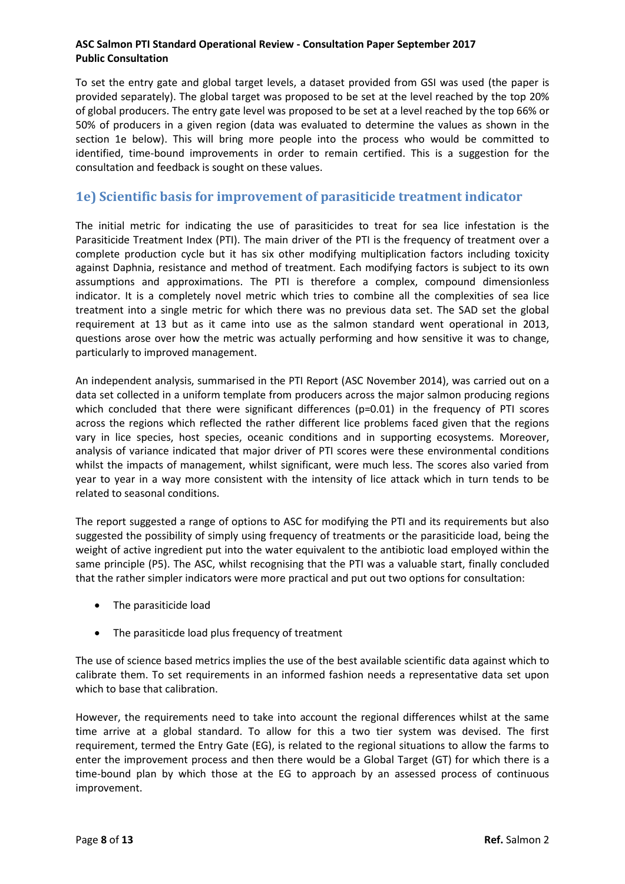To set the entry gate and global target levels, a dataset provided from GSI was used (the paper is provided separately). The global target was proposed to be set at the level reached by the top 20% of global producers. The entry gate level was proposed to be set at a level reached by the top 66% or 50% of producers in a given region (data was evaluated to determine the values as shown in the section 1e below). This will bring more people into the process who would be committed to identified, time-bound improvements in order to remain certified. This is a suggestion for the consultation and feedback is sought on these values.

## **1e) Scientific basis for improvement of parasiticide treatment indicator**

The initial metric for indicating the use of parasiticides to treat for sea lice infestation is the Parasiticide Treatment Index (PTI). The main driver of the PTI is the frequency of treatment over a complete production cycle but it has six other modifying multiplication factors including toxicity against Daphnia, resistance and method of treatment. Each modifying factors is subject to its own assumptions and approximations. The PTI is therefore a complex, compound dimensionless indicator. It is a completely novel metric which tries to combine all the complexities of sea lice treatment into a single metric for which there was no previous data set. The SAD set the global requirement at 13 but as it came into use as the salmon standard went operational in 2013, questions arose over how the metric was actually performing and how sensitive it was to change, particularly to improved management.

An independent analysis, summarised in the PTI Report (ASC November 2014), was carried out on a data set collected in a uniform template from producers across the major salmon producing regions which concluded that there were significant differences (p=0.01) in the frequency of PTI scores across the regions which reflected the rather different lice problems faced given that the regions vary in lice species, host species, oceanic conditions and in supporting ecosystems. Moreover, analysis of variance indicated that major driver of PTI scores were these environmental conditions whilst the impacts of management, whilst significant, were much less. The scores also varied from year to year in a way more consistent with the intensity of lice attack which in turn tends to be related to seasonal conditions.

The report suggested a range of options to ASC for modifying the PTI and its requirements but also suggested the possibility of simply using frequency of treatments or the parasiticide load, being the weight of active ingredient put into the water equivalent to the antibiotic load employed within the same principle (P5). The ASC, whilst recognising that the PTI was a valuable start, finally concluded that the rather simpler indicators were more practical and put out two options for consultation:

- The parasiticide load
- The parasiticde load plus frequency of treatment

The use of science based metrics implies the use of the best available scientific data against which to calibrate them. To set requirements in an informed fashion needs a representative data set upon which to base that calibration.

However, the requirements need to take into account the regional differences whilst at the same time arrive at a global standard. To allow for this a two tier system was devised. The first requirement, termed the Entry Gate (EG), is related to the regional situations to allow the farms to enter the improvement process and then there would be a Global Target (GT) for which there is a time-bound plan by which those at the EG to approach by an assessed process of continuous improvement.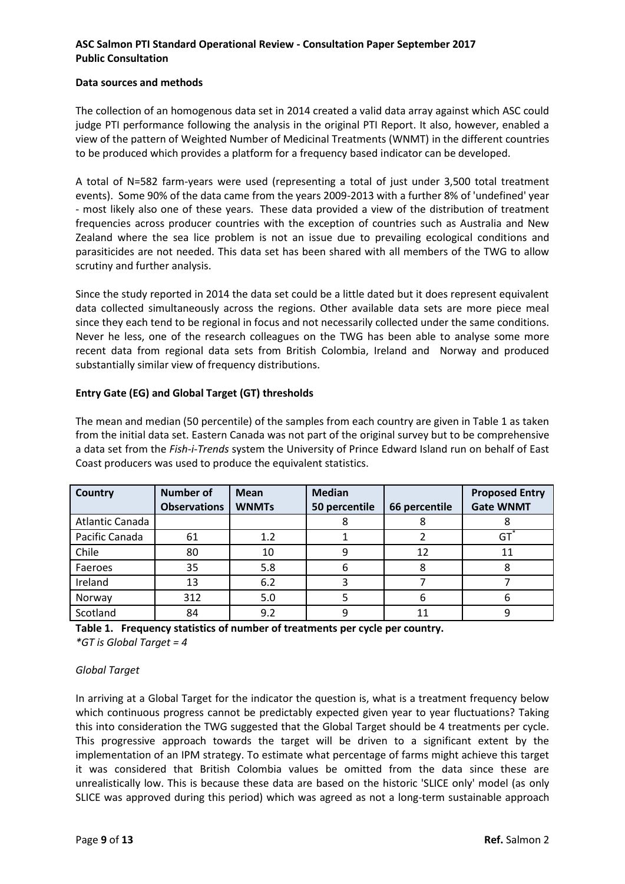#### **Data sources and methods**

The collection of an homogenous data set in 2014 created a valid data array against which ASC could judge PTI performance following the analysis in the original PTI Report. It also, however, enabled a view of the pattern of Weighted Number of Medicinal Treatments (WNMT) in the different countries to be produced which provides a platform for a frequency based indicator can be developed.

A total of N=582 farm-years were used (representing a total of just under 3,500 total treatment events). Some 90% of the data came from the years 2009-2013 with a further 8% of 'undefined' year - most likely also one of these years. These data provided a view of the distribution of treatment frequencies across producer countries with the exception of countries such as Australia and New Zealand where the sea lice problem is not an issue due to prevailing ecological conditions and parasiticides are not needed. This data set has been shared with all members of the TWG to allow scrutiny and further analysis.

Since the study reported in 2014 the data set could be a little dated but it does represent equivalent data collected simultaneously across the regions. Other available data sets are more piece meal since they each tend to be regional in focus and not necessarily collected under the same conditions. Never he less, one of the research colleagues on the TWG has been able to analyse some more recent data from regional data sets from British Colombia, Ireland and Norway and produced substantially similar view of frequency distributions.

#### **Entry Gate (EG) and Global Target (GT) thresholds**

The mean and median (50 percentile) of the samples from each country are given in Table 1 as taken from the initial data set. Eastern Canada was not part of the original survey but to be comprehensive a data set from the *Fish-i-Trends* system the University of Prince Edward Island run on behalf of East Coast producers was used to produce the equivalent statistics.

| <b>Country</b>  | <b>Number of</b>    | <b>Mean</b>  | <b>Median</b> |               | <b>Proposed Entry</b> |
|-----------------|---------------------|--------------|---------------|---------------|-----------------------|
|                 | <b>Observations</b> | <b>WNMTs</b> | 50 percentile | 66 percentile | <b>Gate WNMT</b>      |
| Atlantic Canada |                     |              | 8             |               |                       |
| Pacific Canada  | 61                  | 1.2          |               |               | GT                    |
| Chile           | 80                  | 10           | 9             | 12            | 11                    |
| Faeroes         | 35                  | 5.8          | 6             | 8             | 8                     |
| Ireland         | 13                  | 6.2          |               |               |                       |
| Norway          | 312                 | 5.0          |               | 6             | 6                     |
| Scotland        | 84                  | 9.2          | 9             | 11            | 9                     |

**Table 1. Frequency statistics of number of treatments per cycle per country.**  *\*GT is Global Target = 4*

#### *Global Target*

In arriving at a Global Target for the indicator the question is, what is a treatment frequency below which continuous progress cannot be predictably expected given year to year fluctuations? Taking this into consideration the TWG suggested that the Global Target should be 4 treatments per cycle. This progressive approach towards the target will be driven to a significant extent by the implementation of an IPM strategy. To estimate what percentage of farms might achieve this target it was considered that British Colombia values be omitted from the data since these are unrealistically low. This is because these data are based on the historic 'SLICE only' model (as only SLICE was approved during this period) which was agreed as not a long-term sustainable approach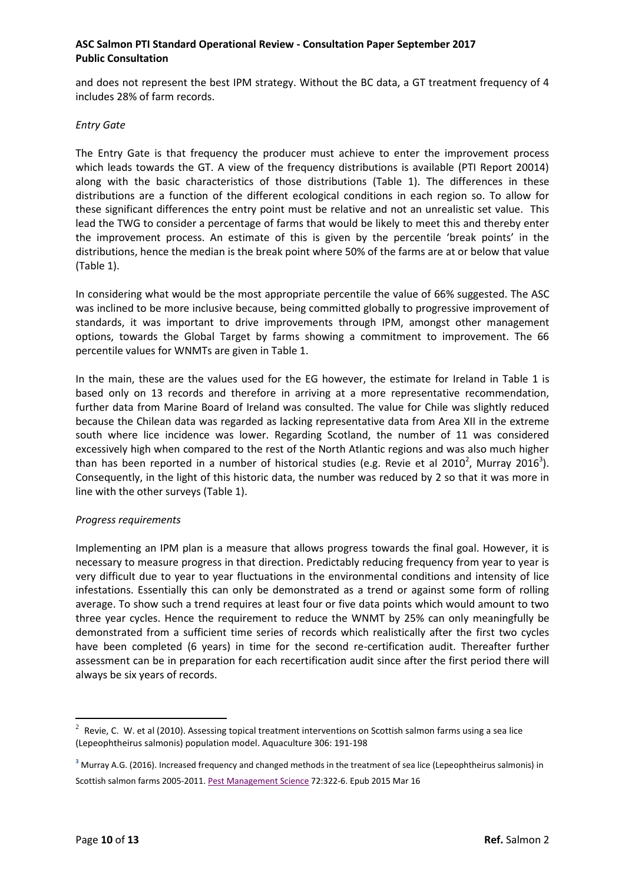and does not represent the best IPM strategy. Without the BC data, a GT treatment frequency of 4 includes 28% of farm records.

#### *Entry Gate*

The Entry Gate is that frequency the producer must achieve to enter the improvement process which leads towards the GT. A view of the frequency distributions is available (PTI Report 20014) along with the basic characteristics of those distributions (Table 1). The differences in these distributions are a function of the different ecological conditions in each region so. To allow for these significant differences the entry point must be relative and not an unrealistic set value. This lead the TWG to consider a percentage of farms that would be likely to meet this and thereby enter the improvement process. An estimate of this is given by the percentile 'break points' in the distributions, hence the median is the break point where 50% of the farms are at or below that value (Table 1).

In considering what would be the most appropriate percentile the value of 66% suggested. The ASC was inclined to be more inclusive because, being committed globally to progressive improvement of standards, it was important to drive improvements through IPM, amongst other management options, towards the Global Target by farms showing a commitment to improvement. The 66 percentile values for WNMTs are given in Table 1.

In the main, these are the values used for the EG however, the estimate for Ireland in Table 1 is based only on 13 records and therefore in arriving at a more representative recommendation, further data from Marine Board of Ireland was consulted. The value for Chile was slightly reduced because the Chilean data was regarded as lacking representative data from Area XII in the extreme south where lice incidence was lower. Regarding Scotland, the number of 11 was considered excessively high when compared to the rest of the North Atlantic regions and was also much higher than has been reported in a number of historical studies (e.g. Revie et al 2010<sup>2</sup>, Murray 2016<sup>3</sup>). Consequently, in the light of this historic data, the number was reduced by 2 so that it was more in line with the other surveys (Table 1).

#### *Progress requirements*

Implementing an IPM plan is a measure that allows progress towards the final goal. However, it is necessary to measure progress in that direction. Predictably reducing frequency from year to year is very difficult due to year to year fluctuations in the environmental conditions and intensity of lice infestations. Essentially this can only be demonstrated as a trend or against some form of rolling average. To show such a trend requires at least four or five data points which would amount to two three year cycles. Hence the requirement to reduce the WNMT by 25% can only meaningfully be demonstrated from a sufficient time series of records which realistically after the first two cycles have been completed (6 years) in time for the second re-certification audit. Thereafter further assessment can be in preparation for each recertification audit since after the first period there will always be six years of records.

 2 Revie, C. W. et al (2010). [Assessing topical treatment interventions on Scottish salmon farms using a sea lice](http://www.islandscholar.ca/islandora/object/ir%3A908?solr_nav%5Bid%5D=aab8c1918147cf721354&solr_nav%5Bpage%5D=4&solr_nav%5Boffset%5D=0)  [\(Lepeophtheirus salmonis\) population model.](http://www.islandscholar.ca/islandora/object/ir%3A908?solr_nav%5Bid%5D=aab8c1918147cf721354&solr_nav%5Bpage%5D=4&solr_nav%5Boffset%5D=0) Aquaculture 306: 191-198

**<sup>3</sup>** Murray A.G. (2016). Increased frequency and changed methods in the treatment of sea lice (Lepeophtheirus salmonis) in Scottish salmon farms 2005-2011[. Pest Management Science](https://www.ncbi.nlm.nih.gov/pubmed/25712895) 72:322-6. Epub 2015 Mar 16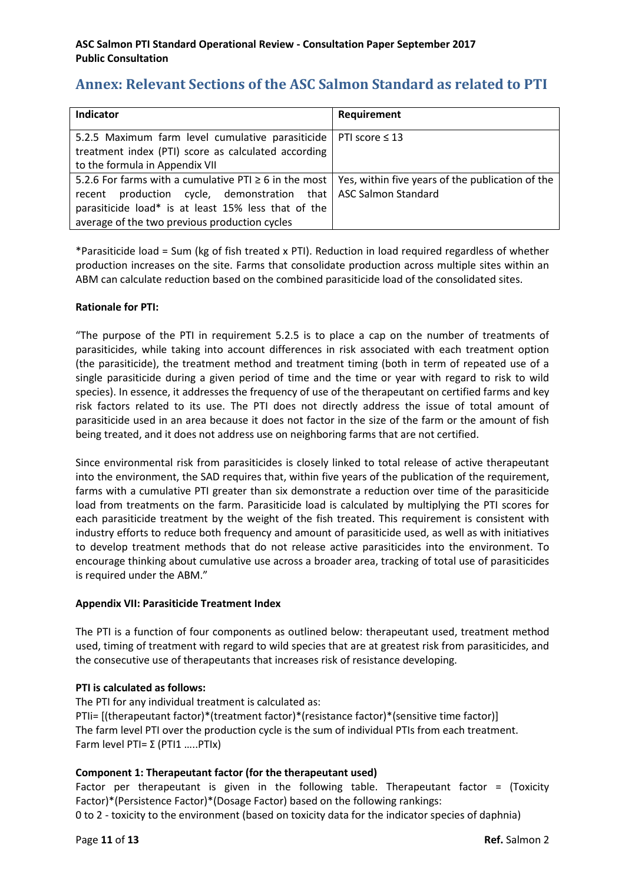# **Annex: Relevant Sections of the ASC Salmon Standard as related to PTI**

| Indicator                                                                                                     | Requirement |
|---------------------------------------------------------------------------------------------------------------|-------------|
| 5.2.5 Maximum farm level cumulative parasiticide   PTI score $\leq$ 13                                        |             |
| treatment index (PTI) score as calculated according                                                           |             |
| to the formula in Appendix VII                                                                                |             |
| 5.2.6 For farms with a cumulative PTI $\geq$ 6 in the most   Yes, within five years of the publication of the |             |
| recent production cycle, demonstration that   ASC Salmon Standard                                             |             |
| parasiticide load* is at least 15% less that of the                                                           |             |
| average of the two previous production cycles                                                                 |             |

\*Parasiticide load = Sum (kg of fish treated x PTI). Reduction in load required regardless of whether production increases on the site. Farms that consolidate production across multiple sites within an ABM can calculate reduction based on the combined parasiticide load of the consolidated sites.

### **Rationale for PTI:**

"The purpose of the PTI in requirement 5.2.5 is to place a cap on the number of treatments of parasiticides, while taking into account differences in risk associated with each treatment option (the parasiticide), the treatment method and treatment timing (both in term of repeated use of a single parasiticide during a given period of time and the time or year with regard to risk to wild species). In essence, it addresses the frequency of use of the therapeutant on certified farms and key risk factors related to its use. The PTI does not directly address the issue of total amount of parasiticide used in an area because it does not factor in the size of the farm or the amount of fish being treated, and it does not address use on neighboring farms that are not certified.

Since environmental risk from parasiticides is closely linked to total release of active therapeutant into the environment, the SAD requires that, within five years of the publication of the requirement, farms with a cumulative PTI greater than six demonstrate a reduction over time of the parasiticide load from treatments on the farm. Parasiticide load is calculated by multiplying the PTI scores for each parasiticide treatment by the weight of the fish treated. This requirement is consistent with industry efforts to reduce both frequency and amount of parasiticide used, as well as with initiatives to develop treatment methods that do not release active parasiticides into the environment. To encourage thinking about cumulative use across a broader area, tracking of total use of parasiticides is required under the ABM."

#### **Appendix VII: Parasiticide Treatment Index**

The PTI is a function of four components as outlined below: therapeutant used, treatment method used, timing of treatment with regard to wild species that are at greatest risk from parasiticides, and the consecutive use of therapeutants that increases risk of resistance developing.

#### **PTI is calculated as follows:**

The PTI for any individual treatment is calculated as: PTIi= [(therapeutant factor)\*(treatment factor)\*(resistance factor)\*(sensitive time factor)] The farm level PTI over the production cycle is the sum of individual PTIs from each treatment. Farm level PTI=  $\Sigma$  (PTI1 .....PTIx)

## **Component 1: Therapeutant factor (for the therapeutant used)**

Factor per therapeutant is given in the following table. Therapeutant factor = (Toxicity Factor)\*(Persistence Factor)\*(Dosage Factor) based on the following rankings: 0 to 2 - toxicity to the environment (based on toxicity data for the indicator species of daphnia)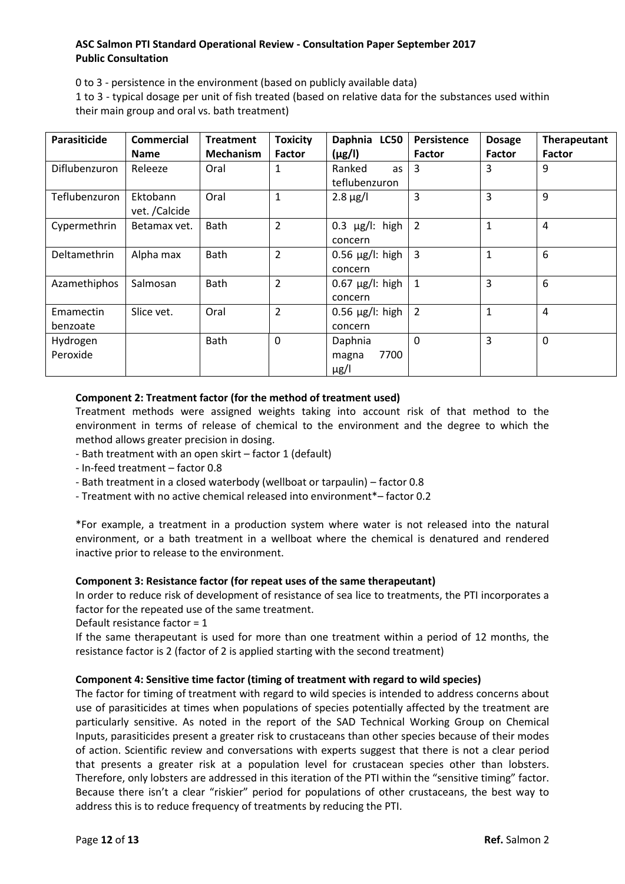0 to 3 - persistence in the environment (based on publicly available data)

1 to 3 - typical dosage per unit of fish treated (based on relative data for the substances used within their main group and oral vs. bath treatment)

| Parasiticide          | <b>Commercial</b>         | <b>Treatment</b> | <b>Toxicity</b> | Daphnia LC50                          | Persistence    | <b>Dosage</b> | Therapeutant   |
|-----------------------|---------------------------|------------------|-----------------|---------------------------------------|----------------|---------------|----------------|
|                       | <b>Name</b>               | <b>Mechanism</b> | <b>Factor</b>   | $(\mu g/l)$                           | <b>Factor</b>  | <b>Factor</b> | Factor         |
| Diflubenzuron         | Releeze                   | Oral             |                 | Ranked<br>as<br>teflubenzuron         | 3              | 3             | 9              |
| Teflubenzuron         | Ektobann<br>vet. /Calcide | Oral             | $\mathbf{1}$    | $2.8 \mu g/l$                         | 3              | 3             | 9              |
| Cypermethrin          | Betamax vet.              | Bath             | $\overline{2}$  | $0.3 \mu g/I$ : high<br>concern       | 2              | 1             | $\overline{4}$ |
| Deltamethrin          | Alpha max                 | Bath             | $\overline{2}$  | $0.56 \mu g/l$ : high<br>concern      | 3              | $\mathbf{1}$  | 6              |
| Azamethiphos          | Salmosan                  | Bath             | $\overline{2}$  | $0.67 \,\mu g/l$ : high<br>concern    | $\mathbf{1}$   | 3             | 6              |
| Emamectin<br>benzoate | Slice vet.                | Oral             | $\overline{2}$  | $0.56 \mu g/l$ : high<br>concern      | $\overline{2}$ | $\mathbf{1}$  | $\overline{4}$ |
| Hydrogen<br>Peroxide  |                           | Bath             | $\Omega$        | Daphnia<br>7700<br>magna<br>$\mu$ g/l | $\Omega$       | 3             | $\overline{0}$ |

### **Component 2: Treatment factor (for the method of treatment used)**

Treatment methods were assigned weights taking into account risk of that method to the environment in terms of release of chemical to the environment and the degree to which the method allows greater precision in dosing.

- Bath treatment with an open skirt factor 1 (default)
- In-feed treatment factor 0.8
- Bath treatment in a closed waterbody (wellboat or tarpaulin) factor 0.8
- Treatment with no active chemical released into environment\*– factor 0.2

\*For example, a treatment in a production system where water is not released into the natural environment, or a bath treatment in a wellboat where the chemical is denatured and rendered inactive prior to release to the environment.

#### **Component 3: Resistance factor (for repeat uses of the same therapeutant)**

In order to reduce risk of development of resistance of sea lice to treatments, the PTI incorporates a factor for the repeated use of the same treatment.

Default resistance factor = 1

If the same therapeutant is used for more than one treatment within a period of 12 months, the resistance factor is 2 (factor of 2 is applied starting with the second treatment)

#### **Component 4: Sensitive time factor (timing of treatment with regard to wild species)**

The factor for timing of treatment with regard to wild species is intended to address concerns about use of parasiticides at times when populations of species potentially affected by the treatment are particularly sensitive. As noted in the report of the SAD Technical Working Group on Chemical Inputs, parasiticides present a greater risk to crustaceans than other species because of their modes of action. Scientific review and conversations with experts suggest that there is not a clear period that presents a greater risk at a population level for crustacean species other than lobsters. Therefore, only lobsters are addressed in this iteration of the PTI within the "sensitive timing" factor. Because there isn't a clear "riskier" period for populations of other crustaceans, the best way to address this is to reduce frequency of treatments by reducing the PTI.